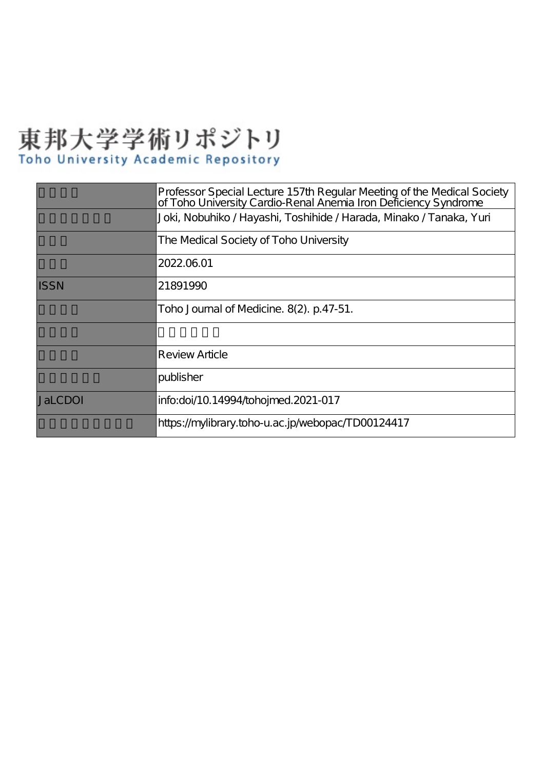# 東邦大学学術リポジトリ Toho University Academic Repository

|                | Professor Special Lecture 157th Regular Meeting of the Medical Society<br>of Toho University Cardio-Renal Anemia Iron Deficiency Syndrome |
|----------------|-------------------------------------------------------------------------------------------------------------------------------------------|
|                | Joki, Nobuhiko / Hayashi, Toshihide / Harada, Minako / Tanaka, Yuri                                                                       |
|                | The Medical Society of Toho University                                                                                                    |
|                | 2022.06.01                                                                                                                                |
| <b>ISSN</b>    | 21891990                                                                                                                                  |
|                | Toho Journal of Medicine. 8(2). p.47-51.                                                                                                  |
|                |                                                                                                                                           |
|                | Review Article                                                                                                                            |
|                | publisher                                                                                                                                 |
| <b>JaLCDOI</b> | info:doi/10.14994/tohojmed.2021-017                                                                                                       |
|                | https://mylibrary.toho-u.ac.jp/webopac/TD00124417                                                                                         |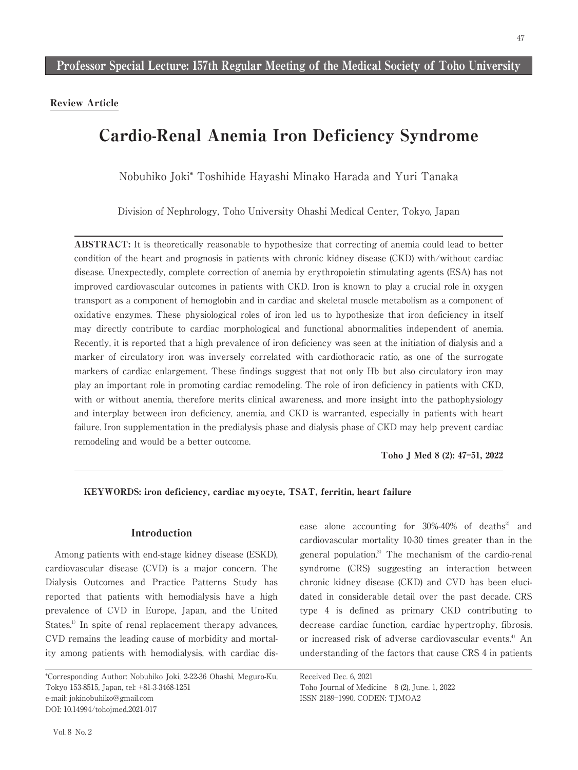Professor Special Lecture: 157th Regular Meeting of the Medical Society of Toho University

Review Article

## Cardio-Renal Anemia Iron Deficiency Syndrome

Nobuhiko Joki\* Toshihide Hayashi Minako Harada and Yuri Tanaka

Division of Nephrology, Toho University Ohashi Medical Center, Tokyo, Japan

ABSTRACT: It is theoretically reasonable to hypothesize that correcting of anemia could lead to better condition of the heart and prognosis in patients with chronic kidney disease (CKD) with/without cardiac disease. Unexpectedly, complete correction of anemia by erythropoietin stimulating agents (ESA) has not improved cardiovascular outcomes in patients with CKD. Iron is known to play a crucial role in oxygen transport as a component of hemoglobin and in cardiac and skeletal muscle metabolism as a component of oxidative enzymes. These physiological roles of iron led us to hypothesize that iron deficiency in itself may directly contribute to cardiac morphological and functional abnormalities independent of anemia. Recently, it is reported that a high prevalence of iron deficiency was seen at the initiation of dialysis and a marker of circulatory iron was inversely correlated with cardiothoracic ratio, as one of the surrogate markers of cardiac enlargement. These findings suggest that not only Hb but also circulatory iron may play an important role in promoting cardiac remodeling. The role of iron deficiency in patients with CKD, with or without anemia, therefore merits clinical awareness, and more insight into the pathophysiology and interplay between iron deficiency, anemia, and CKD is warranted, especially in patients with heart failure. Iron supplementation in the predialysis phase and dialysis phase of CKD may help prevent cardiac remodeling and would be a better outcome.

Toho J Med 8 (2): 47―51, 2022

## KEYWORDS: iron deficiency, cardiac myocyte, TSAT, ferritin, heart failure

#### Introduction

Among patients with end-stage kidney disease (ESKD), cardiovascular disease (CVD) is a major concern. The Dialysis Outcomes and Practice Patterns Study has reported that patients with hemodialysis have a high prevalence of CVD in Europe, Japan, and the United States.<sup>1)</sup> In spite of renal replacement therapy advances, CVD remains the leading cause of morbidity and mortality among patients with hemodialysis, with cardiac dis-

\*Corresponding Author: Nobuhiko Joki, 2-22-36 Ohashi, Meguro-Ku, Tokyo 153-8515, Japan, tel: +81-3-3468-1251 e-mail: jokinobuhiko@gmail.com DOI: 10.14994/tohojmed.2021-017

ease alone accounting for  $30\% - 40\%$  of deaths<sup>2)</sup> and cardiovascular mortality 10-30 times greater than in the general population.3) The mechanism of the cardio-renal syndrome (CRS) suggesting an interaction between chronic kidney disease (CKD) and CVD has been elucidated in considerable detail over the past decade. CRS type 4 is defined as primary CKD contributing to decrease cardiac function, cardiac hypertrophy, fibrosis, or increased risk of adverse cardiovascular events.<sup>4)</sup> An understanding of the factors that cause CRS 4 in patients

Received Dec. 6, 2021 Toho Journal of Medicine 8 (2), June. 1, 2022 ISSN 2189―1990, CODEN: TJMOA2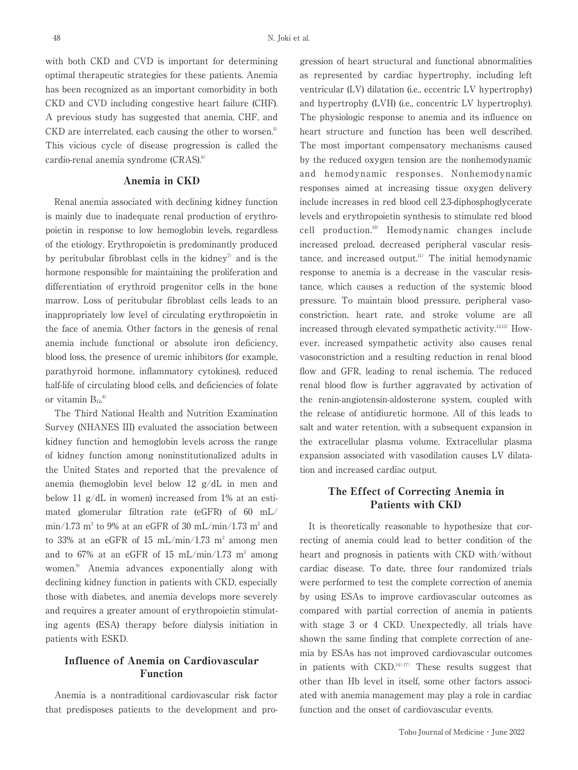with both CKD and CVD is important for determining optimal therapeutic strategies for these patients. Anemia has been recognized as an important comorbidity in both CKD and CVD including congestive heart failure (CHF). A previous study has suggested that anemia, CHF, and CKD are interrelated, each causing the other to worsen.<sup>5)</sup> This vicious cycle of disease progression is called the cardio-renal anemia syndrome (CRAS).<sup>6)</sup>

## Anemia in CKD

Renal anemia associated with declining kidney function is mainly due to inadequate renal production of erythropoietin in response to low hemoglobin levels, regardless of the etiology. Erythropoietin is predominantly produced by peritubular fibroblast cells in the kidney<sup> $\eta$ </sup> and is the hormone responsible for maintaining the proliferation and differentiation of erythroid progenitor cells in the bone marrow. Loss of peritubular fibroblast cells leads to an inappropriately low level of circulating erythropoietin in the face of anemia. Other factors in the genesis of renal anemia include functional or absolute iron deficiency, blood loss, the presence of uremic inhibitors (for example, parathyroid hormone, inflammatory cytokines), reduced half-life of circulating blood cells, and deficiencies of folate or vitamin  $B_{12}$ .<sup>8)</sup>

The Third National Health and Nutrition Examination Survey (NHANES III) evaluated the association between kidney function and hemoglobin levels across the range of kidney function among noninstitutionalized adults in the United States and reported that the prevalence of anemia (hemoglobin level below 12 g/dL in men and below 11 g/dL in women) increased from 1% at an estimated glomerular filtration rate (eGFR) of 60 mL/ min/1.73 m<sup>2</sup> to 9% at an eGFR of 30 mL/min/1.73 m<sup>2</sup> and to 33% at an eGFR of 15 mL/min/1.73 m<sup>2</sup> among men and to 67% at an eGFR of 15 mL/min/1.73 m<sup>2</sup> among women.9) Anemia advances exponentially along with declining kidney function in patients with CKD, especially those with diabetes, and anemia develops more severely and requires a greater amount of erythropoietin stimulating agents (ESA) therapy before dialysis initiation in patients with ESKD.

## Influence of Anemia on Cardiovascular Function

Anemia is a nontraditional cardiovascular risk factor that predisposes patients to the development and pro-

gression of heart structural and functional abnormalities as represented by cardiac hypertrophy, including left ventricular (LV) dilatation (i.e., eccentric LV hypertrophy) and hypertrophy (LVH) (i.e., concentric LV hypertrophy). The physiologic response to anemia and its influence on heart structure and function has been well described. The most important compensatory mechanisms caused by the reduced oxygen tension are the nonhemodynamic and hemodynamic responses. Nonhemodynamic responses aimed at increasing tissue oxygen delivery include increases in red blood cell 2,3-diphosphoglycerate levels and erythropoietin synthesis to stimulate red blood cell production.10) Hemodynamic changes include increased preload, decreased peripheral vascular resis $t$ ance, and increased output.<sup>11</sup> The initial hemodynamic response to anemia is a decrease in the vascular resistance, which causes a reduction of the systemic blood pressure. To maintain blood pressure, peripheral vasoconstriction, heart rate, and stroke volume are all increased through elevated sympathetic activity.<sup>12,13)</sup> However, increased sympathetic activity also causes renal vasoconstriction and a resulting reduction in renal blood flow and GFR, leading to renal ischemia. The reduced renal blood flow is further aggravated by activation of the renin-angiotensin-aldosterone system, coupled with the release of antidiuretic hormone. All of this leads to salt and water retention, with a subsequent expansion in the extracellular plasma volume. Extracellular plasma expansion associated with vasodilation causes LV dilatation and increased cardiac output.

## The Effect of Correcting Anemia in Patients with CKD

It is theoretically reasonable to hypothesize that correcting of anemia could lead to better condition of the heart and prognosis in patients with CKD with/without cardiac disease. To date, three four randomized trials were performed to test the complete correction of anemia by using ESAs to improve cardiovascular outcomes as compared with partial correction of anemia in patients with stage 3 or 4 CKD. Unexpectedly, all trials have shown the same finding that complete correction of anemia by ESAs has not improved cardiovascular outcomes in patients with  $\text{CKD}^{14 \cdot 17}$  These results suggest that other than Hb level in itself, some other factors associated with anemia management may play a role in cardiac function and the onset of cardiovascular events.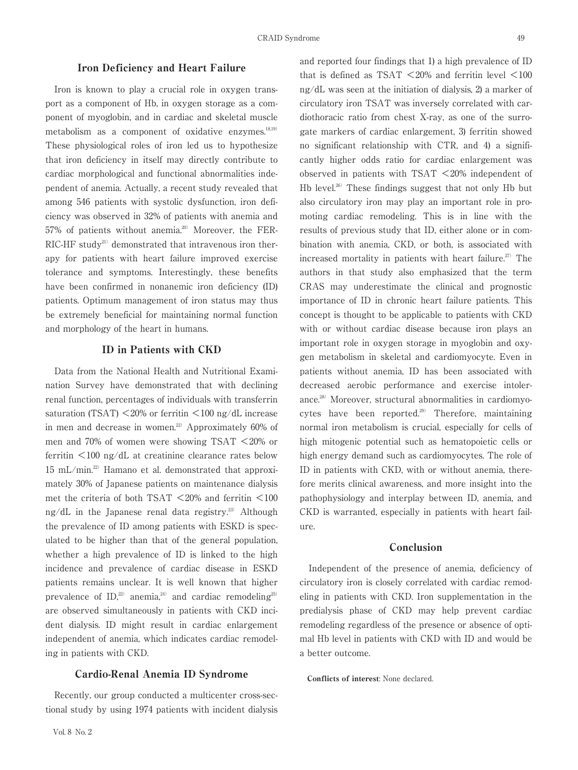### Iron Deficiency and Heart Failure

Iron is known to play a crucial role in oxygen transport as a component of Hb, in oxygen storage as a component of myoglobin, and in cardiac and skeletal muscle metabolism as a component of oxidative enzymes.<sup>18,19)</sup> These physiological roles of iron led us to hypothesize that iron deficiency in itself may directly contribute to cardiac morphological and functional abnormalities independent of anemia. Actually, a recent study revealed that among 546 patients with systolic dysfunction, iron deficiency was observed in 32% of patients with anemia and 57% of patients without anemia.<sup>20)</sup> Moreover, the FER- $\text{RIC-HF study}^{21}$  demonstrated that intravenous iron therapy for patients with heart failure improved exercise tolerance and symptoms. Interestingly, these benefits have been confirmed in nonanemic iron deficiency (ID) patients. Optimum management of iron status may thus be extremely beneficial for maintaining normal function and morphology of the heart in humans.

## ID in Patients with CKD

Data from the National Health and Nutritional Examination Survey have demonstrated that with declining renal function, percentages of individuals with transferrin saturation (TSAT)  $\langle 20\%$  or ferritin  $\langle 100 \rangle$  ng/dL increase in men and decrease in women.<sup>22</sup> Approximately 60% of men and 70% of women were showing TSAT <20% or ferritin <100 ng/dL at creatinine clearance rates below 15 mL/min.22) Hamano et al. demonstrated that approximately 30% of Japanese patients on maintenance dialysis met the criteria of both TSAT <20% and ferritin <100  $ng/dL$  in the Japanese renal data registry.<sup>23)</sup> Although the prevalence of ID among patients with ESKD is speculated to be higher than that of the general population, whether a high prevalence of ID is linked to the high incidence and prevalence of cardiac disease in ESKD patients remains unclear. It is well known that higher prevalence of ID,<sup>22)</sup> anemia,<sup>24)</sup> and cardiac remodeling<sup>25)</sup> are observed simultaneously in patients with CKD incident dialysis. ID might result in cardiac enlargement independent of anemia, which indicates cardiac remodeling in patients with CKD.

## Cardio-Renal Anemia ID Syndrome

Recently, our group conducted a multicenter cross-sectional study by using 1974 patients with incident dialysis

and reported four findings that 1) a high prevalence of ID that is defined as TSAT  $\leq$  20% and ferritin level  $\leq$  100 ng/dL was seen at the initiation of dialysis, 2) a marker of circulatory iron TSAT was inversely correlated with cardiothoracic ratio from chest X-ray, as one of the surrogate markers of cardiac enlargement, 3) ferritin showed no significant relationship with CTR, and 4) a significantly higher odds ratio for cardiac enlargement was observed in patients with TSAT <20% independent of Hb level.26) These findings suggest that not only Hb but also circulatory iron may play an important role in promoting cardiac remodeling. This is in line with the results of previous study that ID, either alone or in combination with anemia, CKD, or both, is associated with increased mortality in patients with heart failure.<sup>27)</sup> The authors in that study also emphasized that the term CRAS may underestimate the clinical and prognostic importance of ID in chronic heart failure patients. This concept is thought to be applicable to patients with CKD with or without cardiac disease because iron plays an important role in oxygen storage in myoglobin and oxygen metabolism in skeletal and cardiomyocyte. Even in patients without anemia, ID has been associated with decreased aerobic performance and exercise intolerance.28) Moreover, structural abnormalities in cardiomyocytes have been reported.<sup>29)</sup> Therefore, maintaining normal iron metabolism is crucial, especially for cells of high mitogenic potential such as hematopoietic cells or high energy demand such as cardiomyocytes. The role of ID in patients with CKD, with or without anemia, therefore merits clinical awareness, and more insight into the pathophysiology and interplay between ID, anemia, and CKD is warranted, especially in patients with heart failure.

## Conclusion

Independent of the presence of anemia, deficiency of circulatory iron is closely correlated with cardiac remodeling in patients with CKD. Iron supplementation in the predialysis phase of CKD may help prevent cardiac remodeling regardless of the presence or absence of optimal Hb level in patients with CKD with ID and would be a better outcome.

Conflicts of interest: None declared.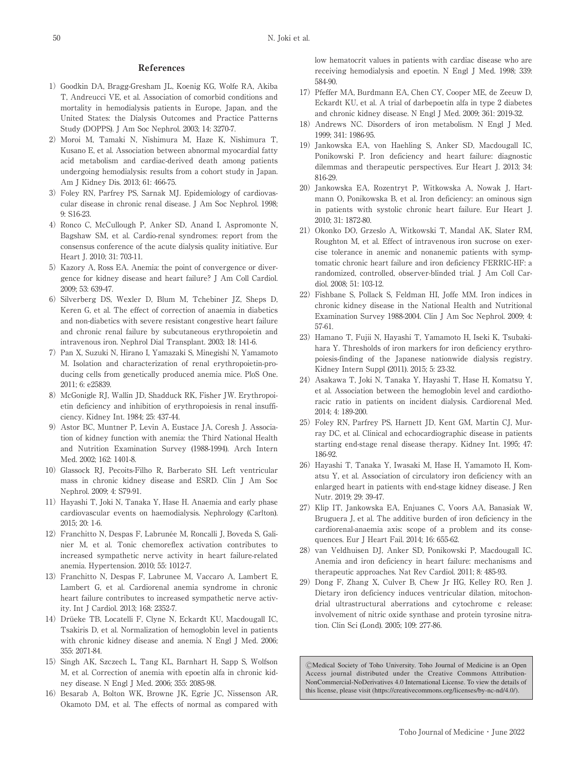#### References

- 1) Goodkin DA, Bragg-Gresham JL, Koenig KG, Wolfe RA, Akiba T, Andreucci VE, et al. Association of comorbid conditions and mortality in hemodialysis patients in Europe, Japan, and the United States: the Dialysis Outcomes and Practice Patterns Study (DOPPS). J Am Soc Nephrol. 2003; 14: 3270-7.
- 2)Moroi M, Tamaki N, Nishimura M, Haze K, Nishimura T, Kusano E, et al. Association between abnormal myocardial fatty acid metabolism and cardiac-derived death among patients undergoing hemodialysis: results from a cohort study in Japan. Am J Kidney Dis. 2013; 61: 466-75.
- 3)Foley RN, Parfrey PS, Sarnak MJ. Epidemiology of cardiovascular disease in chronic renal disease. J Am Soc Nephrol. 1998; 9: S16-23.
- 4) Ronco C, McCullough P, Anker SD, Anand I, Aspromonte N, Bagshaw SM, et al. Cardio-renal syndromes: report from the consensus conference of the acute dialysis quality initiative. Eur Heart J. 2010; 31: 703-11.
- 5) Kazory A, Ross EA. Anemia: the point of convergence or divergence for kidney disease and heart failure? J Am Coll Cardiol. 2009; 53: 639-47.
- 6) Silverberg DS, Wexler D, Blum M, Tchebiner JZ, Sheps D, Keren G, et al. The effect of correction of anaemia in diabetics and non-diabetics with severe resistant congestive heart failure and chronic renal failure by subcutaneous erythropoietin and intravenous iron. Nephrol Dial Transplant. 2003; 18: 141-6.
- 7) Pan X, Suzuki N, Hirano I, Yamazaki S, Minegishi N, Yamamoto M. Isolation and characterization of renal erythropoietin-producing cells from genetically produced anemia mice. PloS One. 2011; 6: e25839.
- 8) McGonigle RJ, Wallin JD, Shadduck RK, Fisher JW. Erythropoietin deficiency and inhibition of erythropoiesis in renal insufficiency. Kidney Int. 1984; 25: 437-44.
- 9)Astor BC, Muntner P, Levin A, Eustace JA, Coresh J. Association of kidney function with anemia: the Third National Health and Nutrition Examination Survey (1988-1994). Arch Intern Med. 2002; 162: 1401-8.
- 10)Glassock RJ, Pecoits-Filho R, Barberato SH. Left ventricular mass in chronic kidney disease and ESRD. Clin J Am Soc Nephrol. 2009; 4: S79-91.
- 11) Hayashi T, Joki N, Tanaka Y, Hase H. Anaemia and early phase cardiovascular events on haemodialysis. Nephrology (Carlton). 2015; 20: 1-6.
- 12) Franchitto N, Despas F, Labrunée M, Roncalli J, Boveda S, Galinier M, et al. Tonic chemoreflex activation contributes to increased sympathetic nerve activity in heart failure-related anemia. Hypertension. 2010; 55: 1012-7.
- 13) Franchitto N, Despas F, Labrunee M, Vaccaro A, Lambert E, Lambert G, et al. Cardiorenal anemia syndrome in chronic heart failure contributes to increased sympathetic nerve activity. Int J Cardiol. 2013; 168: 2352-7.
- 14) Drüeke TB, Locatelli F, Clyne N, Eckardt KU, Macdougall IC, Tsakiris D, et al. Normalization of hemoglobin level in patients with chronic kidney disease and anemia. N Engl J Med. 2006; 355: 2071-84.
- 15) Singh AK, Szczech L, Tang KL, Barnhart H, Sapp S, Wolfson M, et al. Correction of anemia with epoetin alfa in chronic kidney disease. N Engl J Med. 2006; 355: 2085-98.
- 16) Besarab A, Bolton WK, Browne JK, Egrie JC, Nissenson AR, Okamoto DM, et al. The effects of normal as compared with

low hematocrit values in patients with cardiac disease who are receiving hemodialysis and epoetin. N Engl J Med. 1998; 339: 584-90.

- 17) Pfeffer MA, Burdmann EA, Chen CY, Cooper ME, de Zeeuw D, Eckardt KU, et al. A trial of darbepoetin alfa in type 2 diabetes and chronic kidney disease. N Engl J Med. 2009; 361: 2019-32.
- 18) Andrews NC. Disorders of iron metabolism. N Engl J Med. 1999; 341: 1986-95.
- 19) Jankowska EA, von Haehling S, Anker SD, Macdougall IC, Ponikowski P. Iron deficiency and heart failure: diagnostic dilemmas and therapeutic perspectives. Eur Heart J. 2013; 34: 816-29.
- 20) Jankowska EA, Rozentryt P, Witkowska A, Nowak J, Hartmann O, Ponikowska B, et al. Iron deficiency: an ominous sign in patients with systolic chronic heart failure. Eur Heart J. 2010; 31: 1872-80.
- 21) Okonko DO, Grzeslo A, Witkowski T, Mandal AK, Slater RM, Roughton M, et al. Effect of intravenous iron sucrose on exercise tolerance in anemic and nonanemic patients with symptomatic chronic heart failure and iron deficiency FERRIC-HF: a randomized, controlled, observer-blinded trial. J Am Coll Cardiol. 2008; 51: 103-12.
- 22) Fishbane S, Pollack S, Feldman HI, Joffe MM. Iron indices in chronic kidney disease in the National Health and Nutritional Examination Survey 1988-2004. Clin J Am Soc Nephrol. 2009; 4: 57-61.
- 23) Hamano T, Fujii N, Hayashi T, Yamamoto H, Iseki K, Tsubakihara Y. Thresholds of iron markers for iron deficiency erythropoiesis-finding of the Japanese nationwide dialysis registry. Kidney Intern Suppl (2011). 2015; 5: 23-32.
- 24) Asakawa T, Joki N, Tanaka Y, Hayashi T, Hase H, Komatsu Y, et al. Association between the hemoglobin level and cardiothoracic ratio in patients on incident dialysis. Cardiorenal Med. 2014; 4: 189-200.
- 25) Foley RN, Parfrey PS, Harnett JD, Kent GM, Martin CJ, Murray DC, et al. Clinical and echocardiographic disease in patients starting end-stage renal disease therapy. Kidney Int. 1995; 47: 186-92.
- 26) Hayashi T, Tanaka Y, Iwasaki M, Hase H, Yamamoto H, Komatsu Y, et al. Association of circulatory iron deficiency with an enlarged heart in patients with end-stage kidney disease. J Ren Nutr. 2019; 29: 39-47.
- 27) Klip IT, Jankowska EA, Enjuanes C, Voors AA, Banasiak W, Bruguera J, et al. The additive burden of iron deficiency in the cardiorenal-anaemia axis: scope of a problem and its consequences. Eur J Heart Fail. 2014; 16: 655-62.
- 28) van Veldhuisen DJ, Anker SD, Ponikowski P, Macdougall IC. Anemia and iron deficiency in heart failure: mechanisms and therapeutic approaches. Nat Rev Cardiol. 2011; 8: 485-93.
- 29) Dong F, Zhang X, Culver B, Chew Jr HG, Kelley RO, Ren J. Dietary iron deficiency induces ventricular dilation, mitochondrial ultrastructural aberrations and cytochrome c release: involvement of nitric oxide synthase and protein tyrosine nitration. Clin Sci (Lond). 2005; 109: 277-86.

ⒸMedical Society of Toho University. Toho Journal of Medicine is an Open Access journal distributed under the Creative Commons Attribution-NonCommercial-NoDerivatives 4.0 International License. To view the details of this license, please visit (https://creativecommons.org/licenses/by-nc-nd/4.0/).